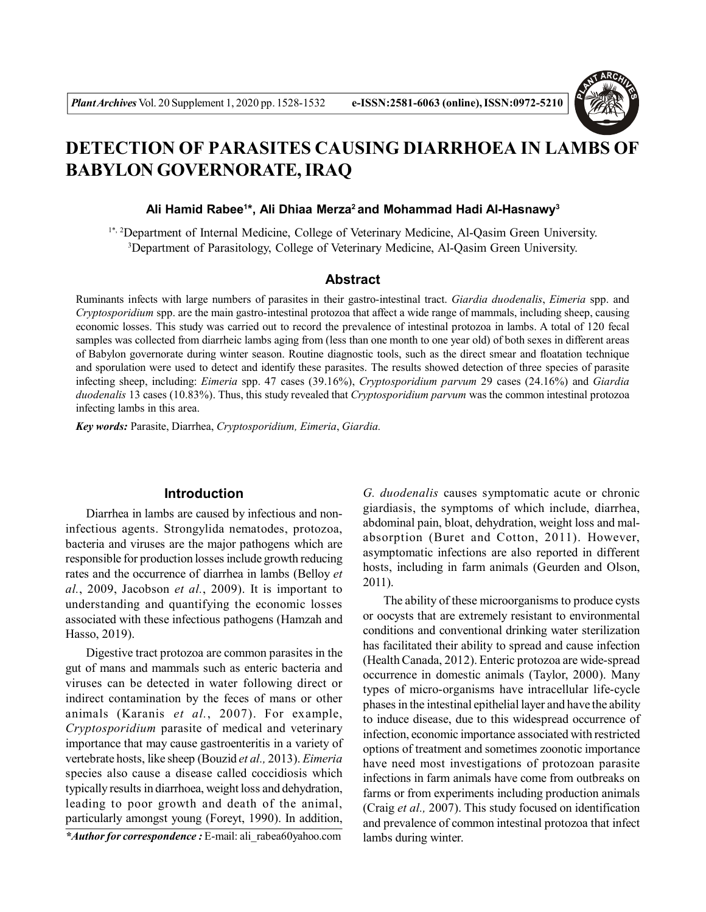

# **DETECTION OF PARASITES CAUSING DIARRHOEA IN LAMBS OF BABYLON GOVERNORATE, IRAQ**

#### **Ali Hamid Rabee<sup>1</sup> \*, Ali Dhiaa Merza<sup>2</sup>and Mohammad Hadi Al-Hasnawy<sup>3</sup>**

1\*, 2Department of Internal Medicine, College of Veterinary Medicine, Al-Qasim Green University. <sup>3</sup>Department of Parasitology, College of Veterinary Medicine, Al-Qasim Green University.

### **Abstract**

Ruminants infects with large numbers of parasites in their gastro-intestinal tract. *Giardia duodenalis*, *Eimeria* spp. and *Cryptosporidium* spp. are the main gastro-intestinal protozoa that affect a wide range of mammals, including sheep, causing economic losses. This study was carried out to record the prevalence of intestinal protozoa in lambs. A total of 120 fecal samples was collected from diarrheic lambs aging from (less than one month to one year old) of both sexes in different areas of Babylon governorate during winter season. Routine diagnostic tools, such as the direct smear and floatation technique and sporulation were used to detect and identify these parasites. The results showed detection of three species of parasite infecting sheep, including: *Eimeria* spp. 47 cases (39.16%), *Cryptosporidium parvum* 29 cases (24.16%) and *Giardia duodenalis* 13 cases (10.83%). Thus, this study revealed that *Cryptosporidium parvum* was the common intestinal protozoa infecting lambs in this area.

*Key words:* Parasite, Diarrhea, *Cryptosporidium, Eimeria*, *Giardia.*

## **Introduction**

Diarrhea in lambs are caused by infectious and noninfectious agents. Strongylida nematodes, protozoa, bacteria and viruses are the major pathogens which are responsible for production losses include growth reducing rates and the occurrence of diarrhea in lambs (Belloy *et al.*, 2009, Jacobson *et al.*, 2009). It is important to understanding and quantifying the economic losses associated with these infectious pathogens (Hamzah and Hasso, 2019).

Digestive tract protozoa are common parasites in the gut of mans and mammals such as enteric bacteria and viruses can be detected in water following direct or indirect contamination by the feces of mans or other animals (Karanis *et al.*, 2007). For example, *Cryptosporidium* parasite of medical and veterinary importance that may cause gastroenteritis in a variety of vertebrate hosts, like sheep (Bouzid *et al.,* 2013). *Eimeria* species also cause a disease called coccidiosis which typically results in diarrhoea, weight loss and dehydration, leading to poor growth and death of the animal, particularly amongst young (Foreyt, 1990). In addition,

*\*Author for correspondence :* E-mail: ali\_rabea60yahoo.com

*G. duodenalis* causes symptomatic acute or chronic giardiasis, the symptoms of which include, diarrhea, abdominal pain, bloat, dehydration, weight loss and malabsorption (Buret and Cotton, 2011). However, asymptomatic infections are also reported in different hosts, including in farm animals (Geurden and Olson, 2011).

The ability of these microorganisms to produce cysts or oocysts that are extremely resistant to environmental conditions and conventional drinking water sterilization has facilitated their ability to spread and cause infection (Health Canada, 2012). Enteric protozoa are wide-spread occurrence in domestic animals (Taylor, 2000). Many types of micro-organisms have intracellular life-cycle phases in the intestinal epithelial layer and have the ability to induce disease, due to this widespread occurrence of infection, economic importance associated with restricted options of treatment and sometimes zoonotic importance have need most investigations of protozoan parasite infections in farm animals have come from outbreaks on farms or from experiments including production animals (Craig *et al.,* 2007). This study focused on identification and prevalence of common intestinal protozoa that infect lambs during winter.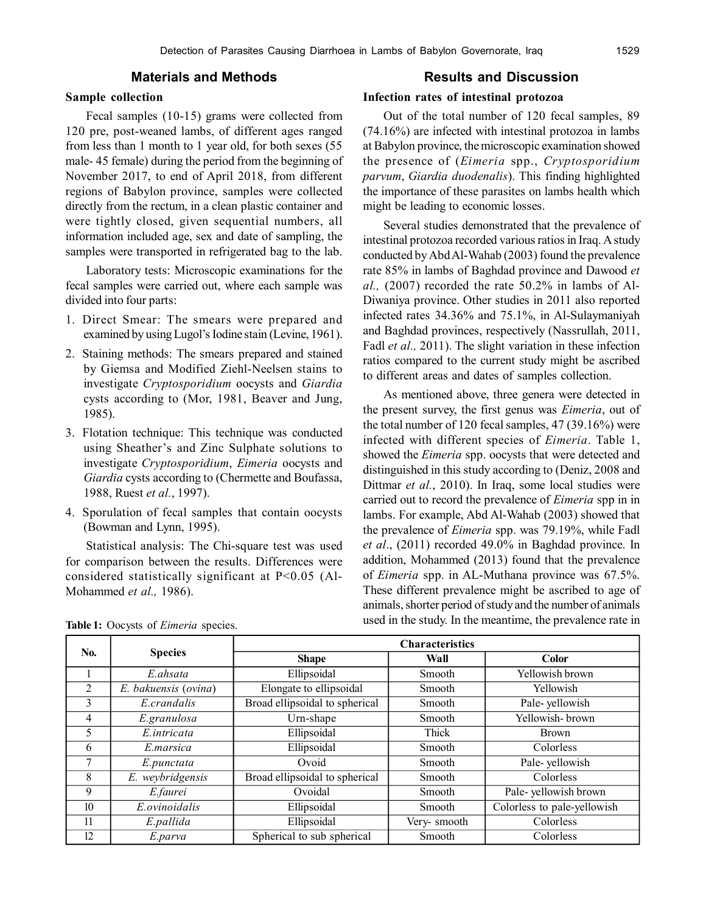## **Materials and Methods**

#### **Sample collection**

Fecal samples (10-15) grams were collected from 120 pre, post-weaned lambs, of different ages ranged from less than 1 month to 1 year old, for both sexes (55 male- 45 female) during the period from the beginning of November 2017, to end of April 2018, from different regions of Babylon province, samples were collected directly from the rectum, in a clean plastic container and were tightly closed, given sequential numbers, all information included age, sex and date of sampling, the samples were transported in refrigerated bag to the lab.

Laboratory tests: Microscopic examinations for the fecal samples were carried out, where each sample was divided into four parts:

- 1. Direct Smear: The smears were prepared and examined by using Lugol's Iodine stain (Levine, 1961).
- 2. Staining methods: The smears prepared and stained by Giemsa and Modified Ziehl-Neelsen stains to investigate *Cryptosporidium* oocysts and *Giardia* cysts according to (Mor, 1981, Beaver and Jung, 1985).
- 3. Flotation technique: This technique was conducted using Sheather's and Zinc Sulphate solutions to investigate *Cryptosporidium*, *Eimeria* oocysts and *Giardia* cysts according to (Chermette and Boufassa, 1988, Ruest *et al.*, 1997).
- 4. Sporulation of fecal samples that contain oocysts (Bowman and Lynn, 1995).

Statistical analysis: The Chi-square test was used for comparison between the results. Differences were considered statistically significant at P<0.05 (Al-Mohammed *et al.,* 1986).

#### **Results and Discussion**

## **Infection rates of intestinal protozoa**

Out of the total number of 120 fecal samples, 89 (74.16%) are infected with intestinal protozoa in lambs at Babylon province, the microscopic examination showed the presence of (*Eimeria* spp., *Cryptosporidium parvum*, *Giardia duodenalis*). This finding highlighted the importance of these parasites on lambs health which might be leading to economic losses.

Several studies demonstrated that the prevalence of intestinal protozoa recorded various ratios in Iraq. A study conducted by Abd Al-Wahab (2003) found the prevalence rate 85% in lambs of Baghdad province and Dawood *et al.,* (2007) recorded the rate 50.2% in lambs of Al-Diwaniya province. Other studies in 2011 also reported infected rates 34.36% and 75.1%, in Al-Sulaymaniyah and Baghdad provinces, respectively (Nassrullah, 2011, Fadl *et al.,* 2011). The slight variation in these infection ratios compared to the current study might be ascribed to different areas and dates of samples collection.

As mentioned above, three genera were detected in the present survey, the first genus was *Eimeria*, out of the total number of 120 fecal samples, 47 (39.16%) were infected with different species of *Eimeria*. Table 1, showed the *Eimeria* spp. oocysts that were detected and distinguished in this study according to (Deniz, 2008 and Dittmar *et al.*, 2010). In Iraq, some local studies were carried out to record the prevalence of *Eimeria* spp in in lambs. For example, Abd Al-Wahab (2003) showed that the prevalence of *Eimeria* spp. was 79.19%, while Fadl *et al*., (2011) recorded 49.0% in Baghdad province. In addition, Mohammed (2013) found that the prevalence of *Eimeria* spp. in AL-Muthana province was 67.5%. These different prevalence might be ascribed to age of animals, shorter period of study and the number of animals used in the study. In the meantime, the prevalence rate in **Table 1:** Oocysts of *Eimeria* species.

| N <sub>0</sub> . |                                    | <b>Characteristics</b>         |             |                             |  |  |  |
|------------------|------------------------------------|--------------------------------|-------------|-----------------------------|--|--|--|
|                  | <b>Species</b>                     | <b>Shape</b>                   | Wall        | Color                       |  |  |  |
|                  | E ahsata                           | Ellipsoidal                    | Smooth      | Yellowish brown             |  |  |  |
| $\mathfrak{D}$   | $\overline{E}$ . bakuensis (ovina) | Elongate to ellipsoidal        | Smooth      | Yellowish                   |  |  |  |
| 3                | E.crandalis                        | Broad ellipsoidal to spherical | Smooth      | Pale-yellowish              |  |  |  |
| 4                | E.granulosa                        | Urn-shape                      | Smooth      | Yellowish-brown             |  |  |  |
| 5                | E.intricata                        | Ellipsoidal                    | Thick       | <b>Brown</b>                |  |  |  |
| 6                | E.marsica                          | Ellipsoidal                    | Smooth      | Colorless                   |  |  |  |
| 7                | E.punctata                         | Ovoid                          | Smooth      | Pale-yellowish              |  |  |  |
| 8                | E. weybridgensis                   | Broad ellipsoidal to spherical | Smooth      | Colorless                   |  |  |  |
| 9                | E.faurei                           | Ovoidal                        | Smooth      | Pale-yellowish brown        |  |  |  |
| 10               | E.ovinoidalis                      | Ellipsoidal                    | Smooth      | Colorless to pale-yellowish |  |  |  |
| 11               | E.pallida                          | Ellipsoidal                    | Very-smooth | Colorless                   |  |  |  |
| 12               | E.parva                            | Spherical to sub spherical     | Smooth      | Colorless                   |  |  |  |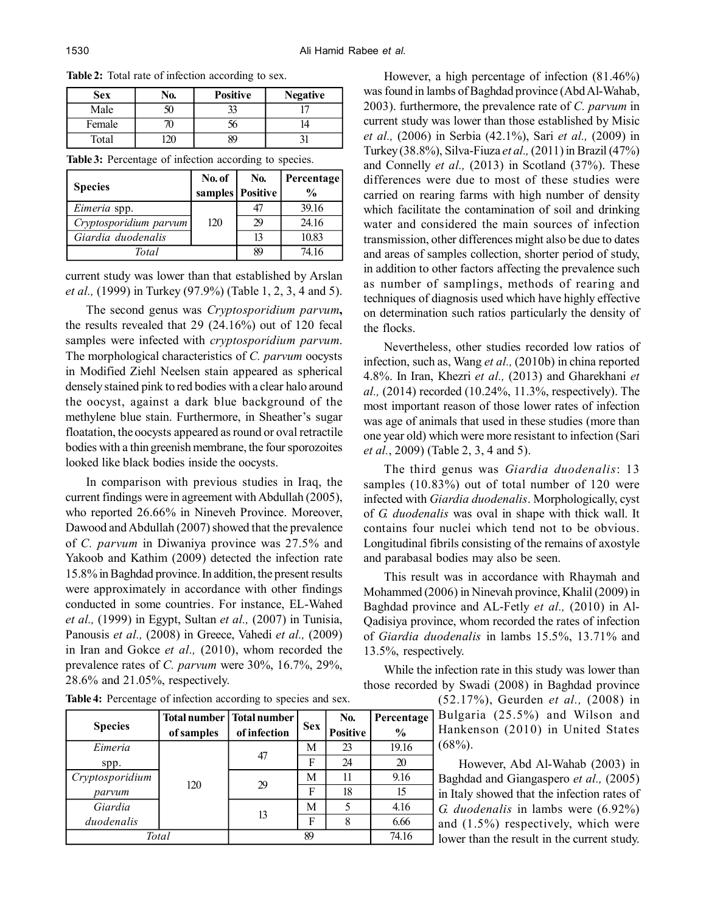| <b>Sex</b> | No. | <b>Positive</b> | <b>Negative</b> |
|------------|-----|-----------------|-----------------|
| Male       |     |                 |                 |
| Female     |     |                 |                 |
| Total      |     |                 |                 |

|  |  | <b>Table 3:</b> Percentage of infection according to species. |  |
|--|--|---------------------------------------------------------------|--|
|  |  |                                                               |  |

**Table 2:** Total rate of infection according to sex.

| <b>Species</b>         | No. of<br>samples   Positive | No.   | <b>Percentage</b><br>$\frac{0}{0}$ |  |
|------------------------|------------------------------|-------|------------------------------------|--|
| Eimeria spp.           | 120                          | 47    | 39.16                              |  |
| Cryptosporidium parvum |                              | 29    | 24.16                              |  |
| Giardia duodenalis     |                              | 13    | 10.83                              |  |
| Total                  | 89                           | 74.16 |                                    |  |

current study was lower than that established by Arslan *et al.,* (1999) in Turkey (97.9%) (Table 1, 2, 3, 4 and 5).

The second genus was *Cryptosporidium parvum***,** the results revealed that 29 (24.16%) out of 120 fecal samples were infected with *cryptosporidium parvum*. The morphological characteristics of *C. parvum* oocysts in Modified Ziehl Neelsen stain appeared as spherical densely stained pink to red bodies with a clear halo around the oocyst, against a dark blue background of the methylene blue stain. Furthermore, in Sheather's sugar floatation, the oocysts appeared as round or oval retractile bodies with a thin greenish membrane, the four sporozoites looked like black bodies inside the oocysts.

In comparison with previous studies in Iraq, the current findings were in agreement with Abdullah (2005), who reported 26.66% in Nineveh Province. Moreover, Dawood and Abdullah (2007) showed that the prevalence of *C. parvum* in Diwaniya province was 27.5% and Yakoob and Kathim (2009) detected the infection rate 15.8% in Baghdad province. In addition, the present results were approximately in accordance with other findings conducted in some countries. For instance, EL-Wahed *et al.,* (1999) in Egypt, Sultan *et al.,* (2007) in Tunisia, Panousis *et al.,* (2008) in Greece, Vahedi *et al.,* (2009) in Iran and Gokce *et al.,* (2010), whom recorded the prevalence rates of *C. parvum* were 30%, 16.7%, 29%, 28.6% and 21.05%, respectively.

However, a high percentage of infection (81.46%) was found in lambs of Baghdad province (Abd Al-Wahab, 2003). furthermore, the prevalence rate of *C. parvum* in current study was lower than those established by Misic *et al.,* (2006) in Serbia (42.1%), Sari *et al.,* (2009) in Turkey (38.8%), Silva-Fiuza *et al.,* (2011) in Brazil (47%) and Connelly *et al.,* (2013) in Scotland (37%). These differences were due to most of these studies were carried on rearing farms with high number of density which facilitate the contamination of soil and drinking water and considered the main sources of infection transmission, other differences might also be due to dates and areas of samples collection, shorter period of study, in addition to other factors affecting the prevalence such as number of samplings, methods of rearing and techniques of diagnosis used which have highly effective on determination such ratios particularly the density of the flocks.

Nevertheless, other studies recorded low ratios of infection, such as, Wang *et al.,* (2010b) in china reported 4.8%. In Iran, Khezri *et al.,* (2013) and Gharekhani *et al.,* (2014) recorded (10.24%, 11.3%, respectively). The most important reason of those lower rates of infection was age of animals that used in these studies (more than one year old) which were more resistant to infection (Sari *et al.*, 2009) (Table 2, 3, 4 and 5).

The third genus was *Giardia duodenalis*: 13 samples (10.83%) out of total number of 120 were infected with *Giardia duodenalis*. Morphologically, cyst of *G. duodenalis* was oval in shape with thick wall. It contains four nuclei which tend not to be obvious. Longitudinal fibrils consisting of the remains of axostyle and parabasal bodies may also be seen.

This result was in accordance with Rhaymah and Mohammed (2006) in Ninevah province, Khalil (2009) in Baghdad province and AL-Fetly *et al.,* (2010) in Al-Qadisiya province, whom recorded the rates of infection of *Giardia duodenalis* in lambs 15.5%, 13.71% and 13.5%, respectively.

While the infection rate in this study was lower than those recorded by Swadi (2008) in Baghdad province

> (52.17%), Geurden *et al.,* (2008) in Bulgaria (25.5%) and Wilson and Hankenson (2010) in United States  $(68\%)$ .

However, Abd Al-Wahab (2003) in Baghdad and Giangaspero *et al.,* (2005) in Italy showed that the infection rates of *G. duodenalis* in lambs were (6.92%) and (1.5%) respectively, which were lower than the result in the current study.

**Table 4:** Percentage of infection according to species and sex.

| <b>Species</b>  | <b>Total number</b><br>of samples | <b>Total number</b><br>of infection | <b>Sex</b> | No.<br><b>Positive</b> | Percentage<br>$\frac{0}{0}$ |
|-----------------|-----------------------------------|-------------------------------------|------------|------------------------|-----------------------------|
| Eimeria         |                                   |                                     | M          | 23                     | 19.16                       |
| spp.            | 120                               | 47                                  | F          | 24                     | 20                          |
| Cryptosporidium |                                   |                                     | M          |                        | 9.16                        |
| parvum          |                                   | 29                                  | F          | 18                     | 15                          |
| Giardia         |                                   |                                     | M          |                        | 4.16                        |
| duodenalis      |                                   | 13                                  | F          |                        | 6.66                        |
| Total           |                                   | 89                                  |            | 74.16                  |                             |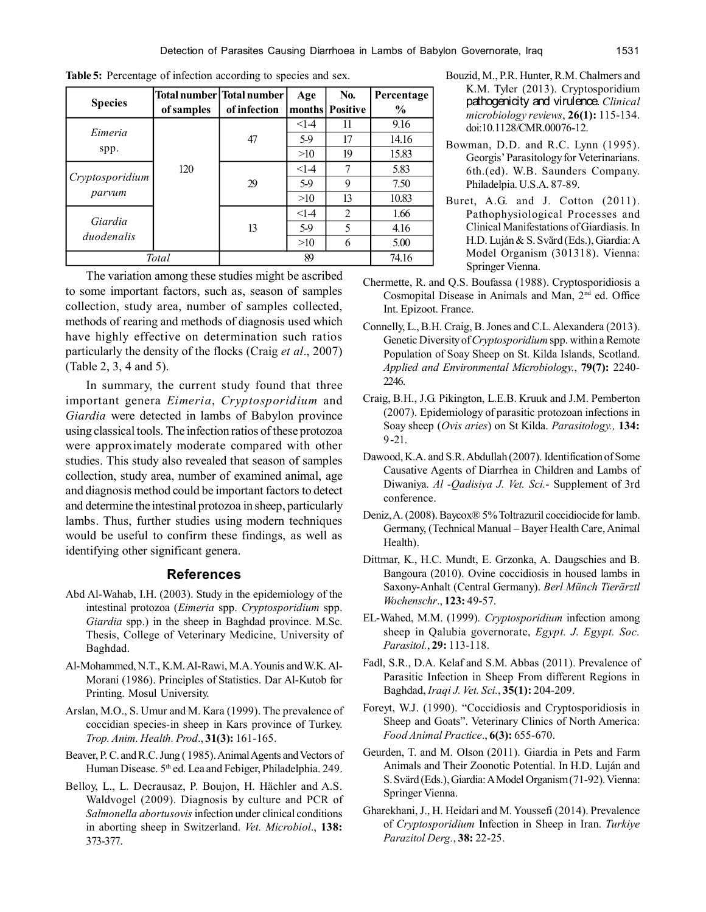|                 |            | Total number   Total number | Age    | No.               | Percentage    |
|-----------------|------------|-----------------------------|--------|-------------------|---------------|
| <b>Species</b>  | of samples | of infection                |        | months   Positive | $\frac{0}{0}$ |
| Eimeria         |            | 47                          | $<1-4$ | 11                | 9.16          |
|                 |            |                             | 5.9    | 17                | 14.16         |
| spp.            |            |                             | >10    | 19                | 15.83         |
|                 | 120        | 29                          | $<1-4$ | 7                 | 5.83          |
| Cryptosporidium |            |                             | 5.9    | 9                 | 7.50          |
| parvum          |            |                             | >10    | 13                | 10.83         |
|                 |            | 13                          | $<1-4$ | $\overline{2}$    | 1.66          |
| Giardia         |            |                             | 5.9    | 5                 | 4.16          |
| duodenalis      |            |                             | >10    | 6                 | 5.00          |
| Total           |            |                             | 89     |                   | 74.16         |

**Table 5:** Percentage of infection according to species and sex.

The variation among these studies might be ascribed to some important factors, such as, season of samples collection, study area, number of samples collected, methods of rearing and methods of diagnosis used which have highly effective on determination such ratios particularly the density of the flocks (Craig *et al*., 2007) (Table 2, 3, 4 and 5).

In summary, the current study found that three important genera *Eimeria*, *Cryptosporidium* and *Giardia* were detected in lambs of Babylon province using classical tools. The infection ratios of these protozoa were approximately moderate compared with other studies. This study also revealed that season of samples collection, study area, number of examined animal, age and diagnosis method could be important factors to detect and determine the intestinal protozoa in sheep, particularly lambs. Thus, further studies using modern techniques would be useful to confirm these findings, as well as identifying other significant genera.

#### **References**

- Abd Al-Wahab, I.H. (2003). Study in the epidemiology of the intestinal protozoa (*Eimeria* spp. *Cryptosporidium* spp. *Giardia* spp.) in the sheep in Baghdad province. M.Sc. Thesis, College of Veterinary Medicine, University of Baghdad.
- Al-Mohammed, N.T., K.M. Al-Rawi, M.A. Younis and W.K. Al-Morani (1986). Principles of Statistics. Dar Al-Kutob for Printing. Mosul University.
- Arslan, M.O., S. Umur and M. Kara (1999). The prevalence of coccidian species-in sheep in Kars province of Turkey. *Trop. Anim. Health. Prod*., **31(3):** 161-165.
- Beaver, P. C. and R.C. Jung ( 1985). Animal Agents and Vectors of Human Disease.  $5<sup>th</sup>$  ed. Lea and Febiger, Philadelphia. 249.
- Belloy, L., L. Decrausaz, P. Boujon, H. Hächler and A.S. Waldvogel (2009). Diagnosis by culture and PCR of *Salmonella abortusovis* infection under clinical conditions in aborting sheep in Switzerland. *Vet. Microbiol*., **138:** 373-377.
- Bouzid, M., P.R. Hunter, R.M. Chalmers and K.M. Tyler (2013). Cryptosporidium pathogenicity and virulence. *Clinical microbiology reviews*, **26(1):** 115-134. doi:10.1128/CMR.00076-12.
- Bowman, D.D. and R.C. Lynn (1995). Georgis' Parasitology for Veterinarians. 6th.(ed). W.B. Saunders Company. Philadelpia. U.S.A. 87-89.
- Buret, A.G. and J. Cotton (2011). Pathophysiological Processes and Clinical Manifestations of Giardiasis. In H.D. Luján & S. Svärd (Eds.), Giardia: A Model Organism (301318). Vienna: Springer Vienna.
- Chermette, R. and Q.S. Boufassa (1988). Cryptosporidiosis a Cosmopital Disease in Animals and Man, 2nd ed. Office Int. Epizoot. France.
- Connelly, L., B.H. Craig, B. Jones and C.L. Alexandera (2013). Genetic Diversity of *Cryptosporidium* spp. within a Remote Population of Soay Sheep on St. Kilda Islands, Scotland. *Applied and Environmental Microbiology.*, **79(7):** 2240- 2246.
- Craig, B.H., J.G. Pikington, L.E.B. Kruuk and J.M. Pemberton (2007). Epidemiology of parasitic protozoan infections in Soay sheep (*Ovis aries*) on St Kilda. *Parasitology.,* **134:** 9 -21.
- Dawood, K.A. and S.R. Abdullah (2007). Identification of Some Causative Agents of Diarrhea in Children and Lambs of Diwaniya. *Al -Qadisiya J. Vet. Sci.*- Supplement of 3rd conference.
- Deniz, A. (2008). Baycox® 5% Toltrazuril coccidiocide for lamb. Germany, (Technical Manual – Bayer Health Care, Animal Health).
- Dittmar, K., H.C. Mundt, E. Grzonka, A. Daugschies and B. Bangoura (2010). Ovine coccidiosis in housed lambs in Saxony-Anhalt (Central Germany). *Berl Münch Tierärztl Wochenschr*., **123:** 49-57.
- EL-Wahed, M.M. (1999)*. Cryptosporidium* infection among sheep in Qalubia governorate, *Egypt. J. Egypt. Soc. Parasitol.*, **29:** 113-118.
- Fadl, S.R., D.A. Kelaf and S.M. Abbas (2011). Prevalence of Parasitic Infection in Sheep From different Regions in Baghdad, *Iraqi J. Vet. Sci.*, **35(1):** 204-209.
- Foreyt, W.J. (1990). "Coccidiosis and Cryptosporidiosis in Sheep and Goats". Veterinary Clinics of North America: *Food Animal Practice*., **6(3):** 655-670.
- Geurden, T. and M. Olson (2011). Giardia in Pets and Farm Animals and Their Zoonotic Potential. In H.D. Luján and S. Svärd (Eds.), Giardia: A Model Organism (71-92). Vienna: Springer Vienna.
- Gharekhani, J., H. Heidari and M. Youssefi (2014). Prevalence of *Cryptosporidium* Infection in Sheep in Iran. *Turkiye Parazitol Derg.*, **38:** 22-25.